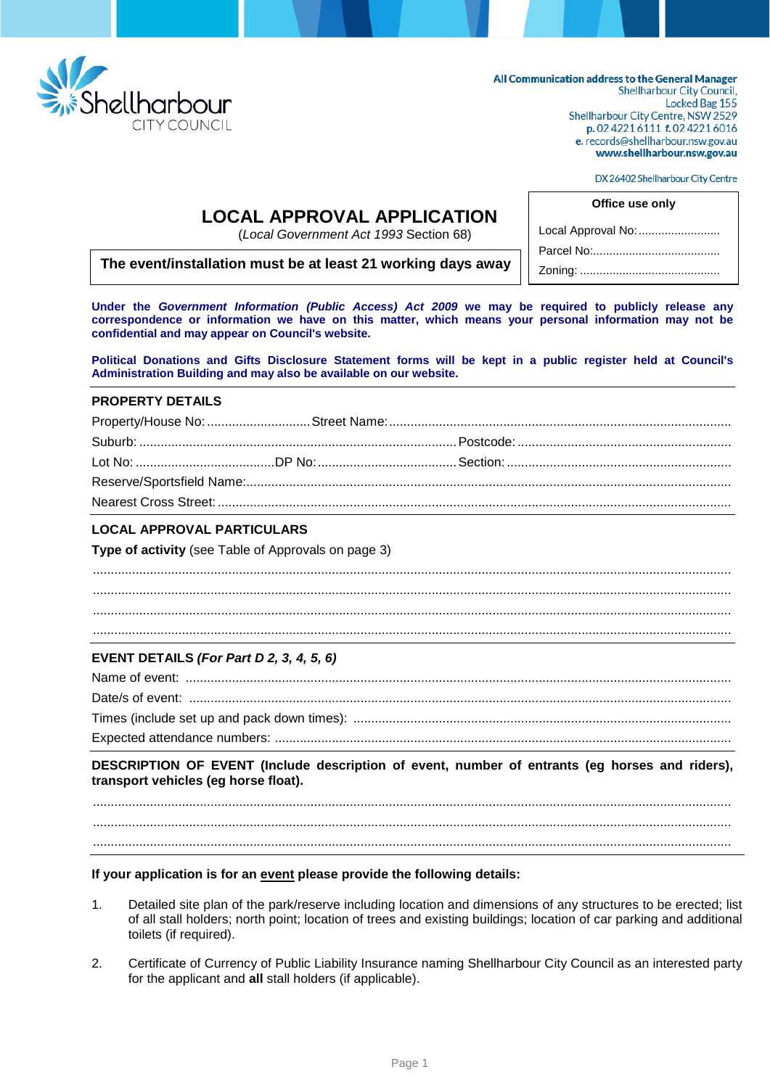

All Communication address to the General Manager **Shellharbour City Council,** Locked Bag 155 Shellharbour City Centre, NSW 2529 p. 02 4221 6111 f. 02 4221 6016 e. records@shellharbour.nsw.gov.au www.shellharbour.nsw.gov.au

DX 26402 Shellharbour City Centre

## **LOCAL APPROVAL APPLICATION**

(*Local Government Act 1993* Section 68)

# Zoning: ........................................... **The event/installation must be at least 21 working days away**

**Office use only** Local Approval No: ......................... Parcel No:.......................................

**Under the** *Government Information (Public Access) Act 2009* **we may be required to publicly release any correspondence or information we have on this matter, which means your personal information may not be confidential and may appear on Council's website.**

**Political Donations and Gifts Disclosure Statement forms will be kept in a public register held at Council's Administration Building and may also be available on our website.**

#### **PROPERTY DETAILS**

#### **LOCAL APPROVAL PARTICULARS**

**Type of activity** (see Table of Approvals on page 3)

................................................................................................................................................................................... ................................................................................................................................................................................... ................................................................................................................................................................................... ...................................................................................................................................................................................

## **EVENT DETAILS** *(For Part D 2, 3, 4, 5, 6)*

## **DESCRIPTION OF EVENT (Include description of event, number of entrants (eg horses and riders), transport vehicles (eg horse float).**

................................................................................................................................................................................... ...................................................................................................................................................................................

...................................................................................................................................................................................

#### **If your application is for an event please provide the following details:**

- 1. Detailed site plan of the park/reserve including location and dimensions of any structures to be erected; list of all stall holders; north point; location of trees and existing buildings; location of car parking and additional toilets (if required).
- 2. Certificate of Currency of Public Liability Insurance naming Shellharbour City Council as an interested party for the applicant and **all** stall holders (if applicable).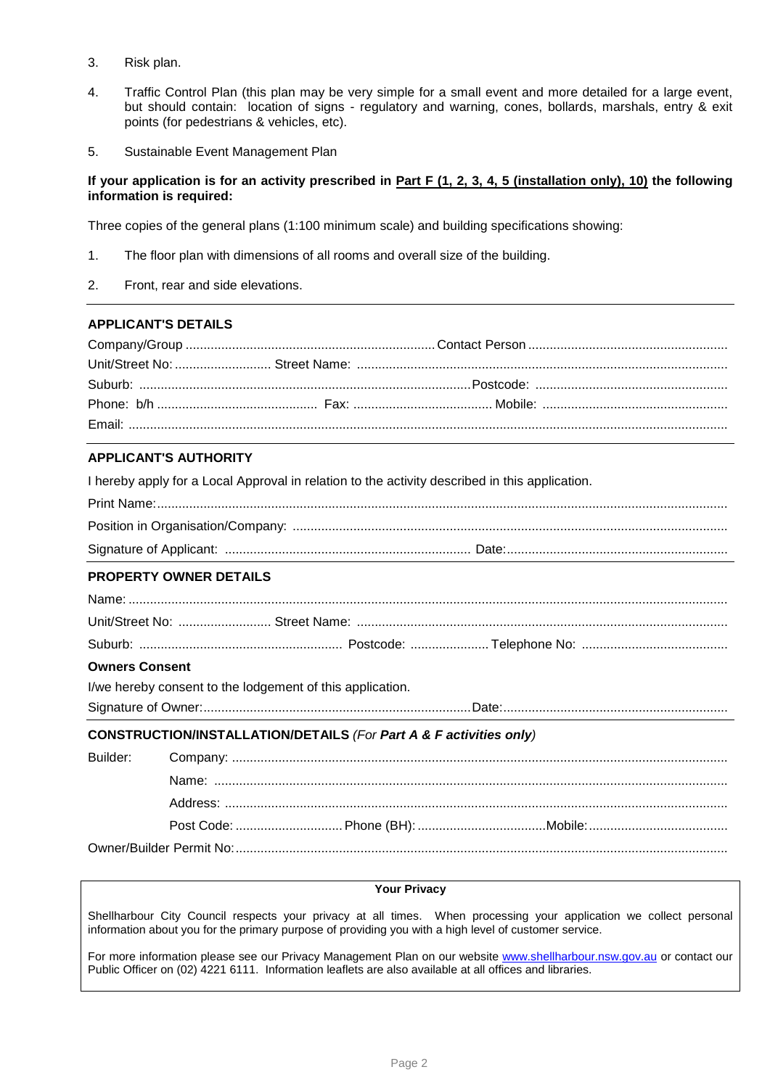- 3. Risk plan.
- 4. Traffic Control Plan (this plan may be very simple for a small event and more detailed for a large event, but should contain: location of signs - regulatory and warning, cones, bollards, marshals, entry & exit points (for pedestrians & vehicles, etc).
- 5. Sustainable Event Management Plan

#### **If your application is for an activity prescribed in Part F (1, 2, 3, 4, 5 (installation only), 10) the following information is required:**

Three copies of the general plans (1:100 minimum scale) and building specifications showing:

- 1. The floor plan with dimensions of all rooms and overall size of the building.
- 2. Front, rear and side elevations.

## **APPLICANT'S DETAILS**

## **APPLICANT'S AUTHORITY**

I hereby apply for a Local Approval in relation to the activity described in this application.

#### **PROPERTY OWNER DETAILS**

#### **Owners Consent**

I/we hereby consent to the lodgement of this application.

Signature of Owner:...........................................................................Date:...............................................................

#### **CONSTRUCTION/INSTALLATION/DETAILS** *(For Part A & F activities only)*

## **Your Privacy**

Shellharbour City Council respects your privacy at all times. When processing your application we collect personal information about you for the primary purpose of providing you with a high level of customer service.

For more information please see our Privacy Management Plan on our website [www.shellharbour.nsw.gov.au](http://www.shellharbour.nsw.gov.au/) or contact our Public Officer on (02) 4221 6111. Information leaflets are also available at all offices and libraries.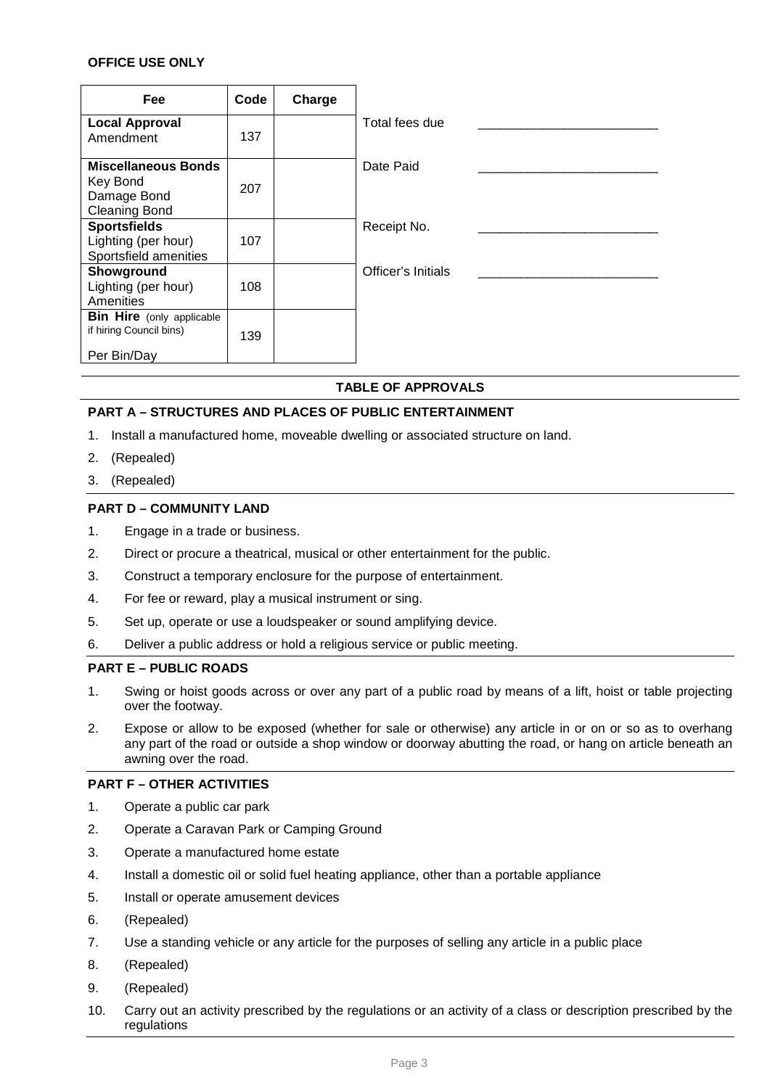## **OFFICE USE ONLY**

| <b>Fee</b>                                                                    | Code | Charge |                    |
|-------------------------------------------------------------------------------|------|--------|--------------------|
| <b>Local Approval</b><br>Amendment                                            | 137  |        | Total fees due     |
| <b>Miscellaneous Bonds</b><br>Key Bond<br>Damage Bond<br><b>Cleaning Bond</b> | 207  |        | Date Paid          |
| <b>Sportsfields</b><br>Lighting (per hour)<br>Sportsfield amenities           | 107  |        | Receipt No.        |
| Showground<br>Lighting (per hour)<br>Amenities                                | 108  |        | Officer's Initials |
| <b>Bin Hire</b> (only applicable<br>if hiring Council bins)<br>Per Bin/Day    | 139  |        |                    |

#### **TABLE OF APPROVALS**

#### **PART A – STRUCTURES AND PLACES OF PUBLIC ENTERTAINMENT**

- 1. Install a manufactured home, moveable dwelling or associated structure on land.
- 2. (Repealed)
- 3. (Repealed)

#### **PART D – COMMUNITY LAND**

- 1. Engage in a trade or business.
- 2. Direct or procure a theatrical, musical or other entertainment for the public.
- 3. Construct a temporary enclosure for the purpose of entertainment.
- 4. For fee or reward, play a musical instrument or sing.
- 5. Set up, operate or use a loudspeaker or sound amplifying device.
- 6. Deliver a public address or hold a religious service or public meeting.

#### **PART E – PUBLIC ROADS**

- 1. Swing or hoist goods across or over any part of a public road by means of a lift, hoist or table projecting over the footway.
- 2. Expose or allow to be exposed (whether for sale or otherwise) any article in or on or so as to overhang any part of the road or outside a shop window or doorway abutting the road, or hang on article beneath an awning over the road.

#### **PART F – OTHER ACTIVITIES**

- 1. Operate a public car park
- 2. Operate a Caravan Park or Camping Ground
- 3. Operate a manufactured home estate
- 4. Install a domestic oil or solid fuel heating appliance, other than a portable appliance
- 5. Install or operate amusement devices
- 6. (Repealed)
- 7. Use a standing vehicle or any article for the purposes of selling any article in a public place
- 8. (Repealed)
- 9. (Repealed)
- 10. Carry out an activity prescribed by the regulations or an activity of a class or description prescribed by the regulations